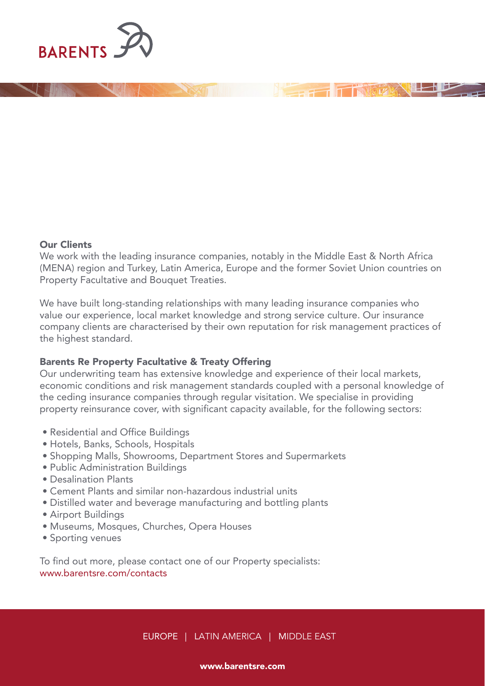

## Our Clients

We work with the leading insurance companies, notably in the Middle East & North Africa (MENA) region and Turkey, Latin America, Europe and the former Soviet Union countries on Property Facultative and Bouquet Treaties.

We have built long-standing relationships with many leading insurance companies who value our experience, local market knowledge and strong service culture. Our insurance company clients are characterised by their own reputation for risk management practices of the highest standard.

# Barents Re Property Facultative & Treaty Offering

Our underwriting team has extensive knowledge and experience of their local markets, economic conditions and risk management standards coupled with a personal knowledge of the ceding insurance companies through regular visitation. We specialise in providing property reinsurance cover, with significant capacity available, for the following sectors:

- Residential and Office Buildings
- Hotels, Banks, Schools, Hospitals
- Shopping Malls, Showrooms, Department Stores and Supermarkets
- Public Administration Buildings
- Desalination Plants
- Cement Plants and similar non-hazardous industrial units
- Distilled water and beverage manufacturing and bottling plants
- Airport Buildings
- Museums, Mosques, Churches, Opera Houses
- Sporting venues

To find out more, please contact one of our Property specialists: www.barentsre.com/contacts

EUROPE | LATIN AMERICA | MIDDLE EAST

## www.barentsre.com